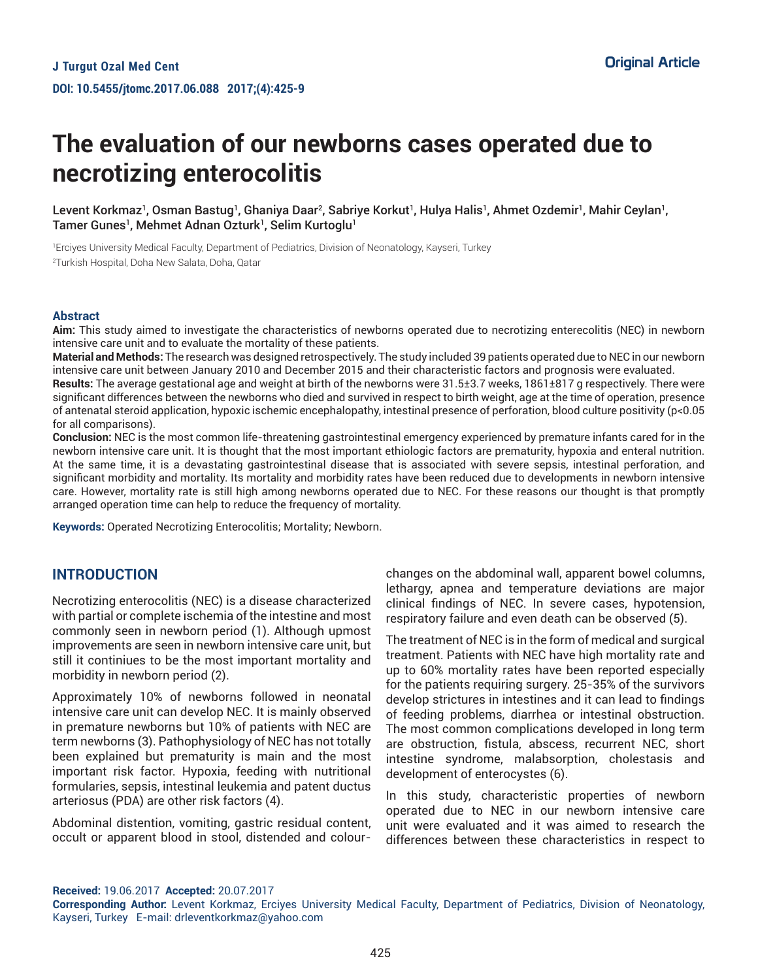# **The evaluation of our newborns cases operated due to necrotizing enterocolitis**

Levent Korkmaz', Osman Bastug', Ghaniya Daar², Sabriye Korkut', Hulya Halis', Ahmet Ozdemir', Mahir Ceylan', Tamer Gunes<sup>1</sup>, Mehmet Adnan Ozturk<sup>1</sup>, Selim Kurtoglu<sup>1</sup>

1 Erciyes University Medical Faculty, Department of Pediatrics, Division of Neonatology, Kayseri, Turkey 2 Turkish Hospital, Doha New Salata, Doha, Qatar

#### **Abstract**

**Aim:** This study aimed to investigate the characteristics of newborns operated due to necrotizing enterecolitis (NEC) in newborn intensive care unit and to evaluate the mortality of these patients.

**Material and Methods:** The research was designed retrospectively. The study included 39 patients operated due to NEC in our newborn intensive care unit between January 2010 and December 2015 and their characteristic factors and prognosis were evaluated.

**Results:** The average gestational age and weight at birth of the newborns were 31.5±3.7 weeks, 1861±817 g respectively. There were significant differences between the newborns who died and survived in respect to birth weight, age at the time of operation, presence of antenatal steroid application, hypoxic ischemic encephalopathy, intestinal presence of perforation, blood culture positivity (p<0.05 for all comparisons).

**Conclusion:** NEC is the most common life-threatening gastrointestinal emergency experienced by premature infants cared for in the newborn intensive care unit. It is thought that the most important ethiologic factors are prematurity, hypoxia and enteral nutrition. At the same time, it is a devastating gastrointestinal disease that is associated with severe sepsis, intestinal perforation, and significant morbidity and mortality. Its mortality and morbidity rates have been reduced due to developments in newborn intensive care. However, mortality rate is still high among newborns operated due to NEC. For these reasons our thought is that promptly arranged operation time can help to reduce the frequency of mortality.

**Keywords:** Operated Necrotizing Enterocolitis; Mortality; Newborn.

## **INTRODUCTION**

Necrotizing enterocolitis (NEC) is a disease characterized with partial or complete ischemia of the intestine and most commonly seen in newborn period (1). Although upmost improvements are seen in newborn intensive care unit, but still it continiues to be the most important mortality and morbidity in newborn period (2).

Approximately 10% of newborns followed in neonatal intensive care unit can develop NEC. It is mainly observed in premature newborns but 10% of patients with NEC are term newborns (3). Pathophysiology of NEC has not totally been explained but prematurity is main and the most important risk factor. Hypoxia, feeding with nutritional formularies, sepsis, intestinal leukemia and patent ductus arteriosus (PDA) are other risk factors (4).

Abdominal distention, vomiting, gastric residual content, occult or apparent blood in stool, distended and colour-

changes on the abdominal wall, apparent bowel columns, lethargy, apnea and temperature deviations are major clinical findings of NEC. In severe cases, hypotension, respiratory failure and even death can be observed (5).

The treatment of NEC is in the form of medical and surgical treatment. Patients with NEC have high mortality rate and up to 60% mortality rates have been reported especially for the patients requiring surgery. 25-35% of the survivors develop strictures in intestines and it can lead to findings of feeding problems, diarrhea or intestinal obstruction. The most common complications developed in long term are obstruction, fistula, abscess, recurrent NEC, short intestine syndrome, malabsorption, cholestasis and development of enterocystes (6).

In this study, characteristic properties of newborn operated due to NEC in our newborn intensive care unit were evaluated and it was aimed to research the differences between these characteristics in respect to

**Received:** 19.06.2017 **Accepted:** 20.07.2017

**Corresponding Author:** Levent Korkmaz, Erciyes University Medical Faculty, Department of Pediatrics, Division of Neonatology, Kayseri, Turkey E-mail: drleventkorkmaz@yahoo.com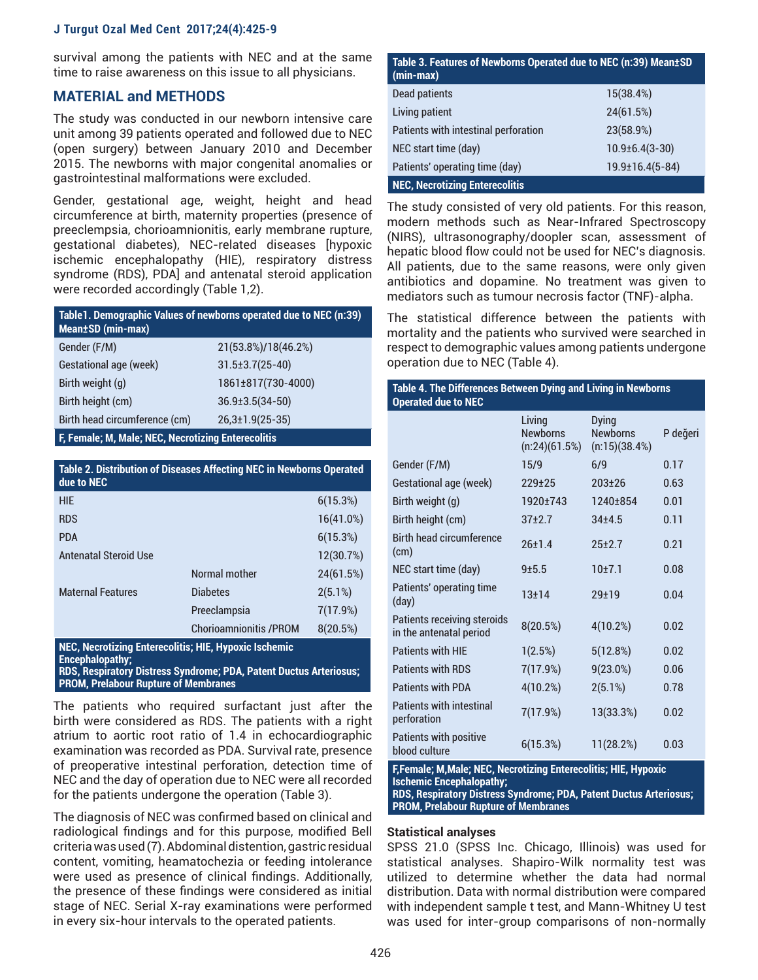survival among the patients with NEC and at the same time to raise awareness on this issue to all physicians.

## **MATERIAL and METHODS**

The study was conducted in our newborn intensive care unit among 39 patients operated and followed due to NEC (open surgery) between January 2010 and December 2015. The newborns with major congenital anomalies or gastrointestinal malformations were excluded.

Gender, gestational age, weight, height and head circumference at birth, maternity properties (presence of preeclempsia, chorioamnionitis, early membrane rupture, gestational diabetes), NEC-related diseases [hypoxic ischemic encephalopathy (HIE), respiratory distress syndrome (RDS), PDA] and antenatal steroid application were recorded accordingly (Table 1,2).

| Table 1. Demographic Values of newborns operated due to NEC (n:39)<br>Mean±SD (min-max) |                         |  |  |  |
|-----------------------------------------------------------------------------------------|-------------------------|--|--|--|
| Gender (F/M)                                                                            | 21(53.8%)/18(46.2%)     |  |  |  |
| Gestational age (week)                                                                  | $31.5 \pm 3.7(25 - 40)$ |  |  |  |
| Birth weight (g)                                                                        | 1861±817(730-4000)      |  |  |  |
| Birth height (cm)                                                                       | $36.9 \pm 3.5(34 - 50)$ |  |  |  |
| Birth head circumference (cm)                                                           | $26,3 \pm 1.9(25-35)$   |  |  |  |
|                                                                                         |                         |  |  |  |

**F, Female; M, Male; NEC, Necrotizing Enterecolitis**

| Table 2. Distribution of Diseases Affecting NEC in Newborns Operated<br>due to NEC                                                                                           |                                |            |  |
|------------------------------------------------------------------------------------------------------------------------------------------------------------------------------|--------------------------------|------------|--|
| <b>HIE</b>                                                                                                                                                                   |                                | 6(15.3%)   |  |
| <b>RDS</b>                                                                                                                                                                   |                                | 16(41.0%)  |  |
| <b>PDA</b>                                                                                                                                                                   |                                | 6(15.3%)   |  |
| <b>Antenatal Steroid Use</b>                                                                                                                                                 |                                | 12(30.7%)  |  |
|                                                                                                                                                                              | Normal mother                  | 24(61.5%)  |  |
| <b>Maternal Features</b>                                                                                                                                                     | <b>Diabetes</b>                | $2(5.1\%)$ |  |
|                                                                                                                                                                              | Preeclampsia                   | 7(17.9%)   |  |
|                                                                                                                                                                              | <b>Chorioamnionitis / PROM</b> | 8(20.5%)   |  |
| NEC, Necrotizing Enterecolitis; HIE, Hypoxic Ischemic<br>Encephalopathy:<br><b>Participate Controller Controller Controller Controller Controller</b><br><b>BBIRY IRVINE</b> |                                |            |  |

**RDS, Respiratory Distress Syndrome; PDA, Patent Ductus Arteriosus; PROM, Prelabour Rupture of Membranes**

The patients who required surfactant just after the birth were considered as RDS. The patients with a right atrium to aortic root ratio of 1.4 in echocardiographic examination was recorded as PDA. Survival rate, presence of preoperative intestinal perforation, detection time of NEC and the day of operation due to NEC were all recorded for the patients undergone the operation (Table 3).

The diagnosis of NEC was confirmed based on clinical and radiological findings and for this purpose, modified Bell criteria was used (7). Abdominal distention, gastric residual content, vomiting, heamatochezia or feeding intolerance were used as presence of clinical findings. Additionally, the presence of these findings were considered as initial stage of NEC. Serial X-ray examinations were performed in every six-hour intervals to the operated patients.

| Table 3. Features of Newborns Operated due to NEC (n:39) Mean±SD<br>$(min-max)$ |                         |
|---------------------------------------------------------------------------------|-------------------------|
| Dead patients                                                                   | 15(38.4%)               |
| Living patient                                                                  | 24(61.5%)               |
| Patients with intestinal perforation                                            | 23(58.9%)               |
| NEC start time (day)                                                            | $10.9 \pm 6.4(3 - 30)$  |
| Patients' operating time (day)                                                  | $19.9 \pm 16.4(5 - 84)$ |
| <b>NEC, Necrotizing Enterecolitis</b>                                           |                         |

The study consisted of very old patients. For this reason, modern methods such as Near-Infrared Spectroscopy (NIRS), ultrasonography/doopler scan, assessment of hepatic blood flow could not be used for NEC's diagnosis. All patients, due to the same reasons, were only given antibiotics and dopamine. No treatment was given to mediators such as tumour necrosis factor (TNF)-alpha.

The statistical difference between the patients with mortality and the patients who survived were searched in respect to demographic values among patients undergone operation due to NEC (Table 4).

| Table 4. The Differences Between Dying and Living in Newborns<br><b>Operated due to NEC</b> |                                            |                                                  |          |  |  |
|---------------------------------------------------------------------------------------------|--------------------------------------------|--------------------------------------------------|----------|--|--|
|                                                                                             | Living<br><b>Newborns</b><br>(n:24)(61.5%) | <b>Dying</b><br><b>Newborns</b><br>(n:15)(38.4%) | P değeri |  |  |
| Gender (F/M)                                                                                | 15/9                                       | 6/9                                              | 0.17     |  |  |
| Gestational age (week)                                                                      | $229+25$                                   | $203+26$                                         | 0.63     |  |  |
| Birth weight (g)                                                                            | 1920±743                                   | 1240±854                                         | 0.01     |  |  |
| Birth height (cm)                                                                           | $37+2.7$                                   | $34 + 4.5$                                       | 0.11     |  |  |
| <b>Birth head circumference</b><br>(cm)                                                     | 26±1.4                                     | $25+2.7$                                         | 0.21     |  |  |
| NEC start time (day)                                                                        | $9 + 5.5$                                  | 10±7.1                                           | 0.08     |  |  |
| Patients' operating time<br>(day)                                                           | $13 + 14$                                  | $29 + 19$                                        | 0.04     |  |  |
| Patients receiving steroids<br>in the antenatal period                                      | 8(20.5%)                                   | 4(10.2%)                                         | 0.02     |  |  |
| <b>Patients with HIF</b>                                                                    | 1(2.5%)                                    | 5(12.8%)                                         | 0.02     |  |  |
| <b>Patients with RDS</b>                                                                    | 7(17.9%)                                   | $9(23.0\%)$                                      | 0.06     |  |  |
| <b>Patients with PDA</b>                                                                    | 4(10.2%)                                   | 2(5.1%)                                          | 0.78     |  |  |
| <b>Patients with intestinal</b><br>perforation                                              | 7(17.9%)                                   | 13(33.3%)                                        | 0.02     |  |  |
| <b>Patients with positive</b><br>blood culture                                              | 6(15.3%)                                   | 11(28.2%)                                        | 0.03     |  |  |
| E Female: M. Male: NEC. Neoratizing Enterpresibility LUE. Uvnevia                           |                                            |                                                  |          |  |  |

**F,Female; M,Male; NEC, Necrotizing Enterecolitis; HIE, Hypoxic Ischemic Encephalopathy; RDS, Respiratory Distress Syndrome; PDA, Patent Ductus Arteriosus; PROM, Prelabour Rupture of Membranes**

#### **Statistical analyses**

SPSS 21.0 (SPSS Inc. Chicago, Illinois) was used for statistical analyses. Shapiro-Wilk normality test was utilized to determine whether the data had normal distribution. Data with normal distribution were compared with independent sample t test, and Mann-Whitney U test was used for inter-group comparisons of non-normally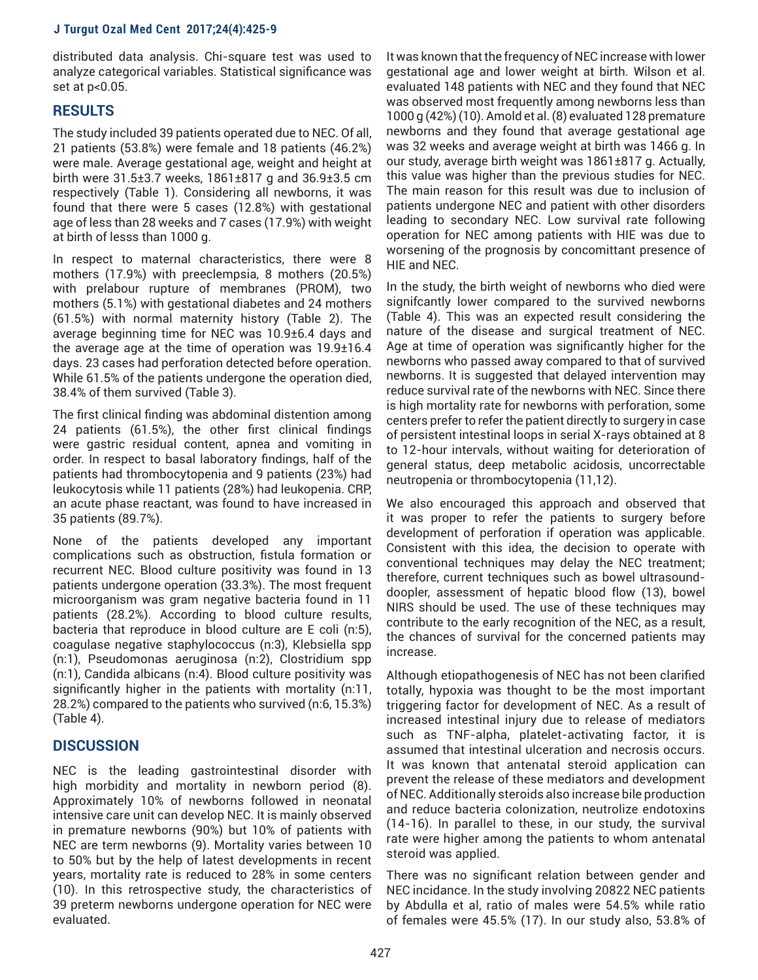distributed data analysis. Chi-square test was used to analyze categorical variables. Statistical significance was set at p<0.05.

# **RESULTS**

The study included 39 patients operated due to NEC. Of all, 21 patients (53.8%) were female and 18 patients (46.2%) were male. Average gestational age, weight and height at birth were 31.5±3.7 weeks, 1861±817 g and 36.9±3.5 cm respectively (Table 1). Considering all newborns, it was found that there were 5 cases (12.8%) with gestational age of less than 28 weeks and 7 cases (17.9%) with weight at birth of lesss than 1000 g.

In respect to maternal characteristics, there were 8 mothers (17.9%) with preeclempsia, 8 mothers (20.5%) with prelabour rupture of membranes (PROM), two mothers (5.1%) with gestational diabetes and 24 mothers (61.5%) with normal maternity history (Table 2). The average beginning time for NEC was 10.9±6.4 days and the average age at the time of operation was 19.9±16.4 days. 23 cases had perforation detected before operation. While 61.5% of the patients undergone the operation died, 38.4% of them survived (Table 3).

The first clinical finding was abdominal distention among 24 patients (61.5%), the other first clinical findings were gastric residual content, apnea and vomiting in order. In respect to basal laboratory findings, half of the patients had thrombocytopenia and 9 patients (23%) had leukocytosis while 11 patients (28%) had leukopenia. CRP, an acute phase reactant, was found to have increased in 35 patients (89.7%).

None of the patients developed any important complications such as obstruction, fistula formation or recurrent NEC. Blood culture positivity was found in 13 patients undergone operation (33.3%). The most frequent microorganism was gram negative bacteria found in 11 patients (28.2%). According to blood culture results, bacteria that reproduce in blood culture are E coli (n:5), coagulase negative staphylococcus (n:3), Klebsiella spp (n:1), Pseudomonas aeruginosa (n:2), Clostridium spp (n:1), Candida albicans (n:4). Blood culture positivity was significantly higher in the patients with mortality (n:11, 28.2%) compared to the patients who survived (n:6, 15.3%) (Table 4).

## **DISCUSSION**

NEC is the leading gastrointestinal disorder with high morbidity and mortality in newborn period (8). Approximately 10% of newborns followed in neonatal intensive care unit can develop NEC. It is mainly observed in premature newborns (90%) but 10% of patients with NEC are term newborns (9). Mortality varies between 10 to 50% but by the help of latest developments in recent years, mortality rate is reduced to 28% in some centers (10). In this retrospective study, the characteristics of 39 preterm newborns undergone operation for NEC were evaluated.

It was known that the frequency of NEC increase with lower gestational age and lower weight at birth. Wilson et al. evaluated 148 patients with NEC and they found that NEC was observed most frequently among newborns less than 1000 g (42%) (10). Amold et al. (8) evaluated 128 premature newborns and they found that average gestational age was 32 weeks and average weight at birth was 1466 g. In our study, average birth weight was 1861±817 g. Actually, this value was higher than the previous studies for NEC. The main reason for this result was due to inclusion of patients undergone NEC and patient with other disorders leading to secondary NEC. Low survival rate following operation for NEC among patients with HIE was due to worsening of the prognosis by concomittant presence of HIE and NEC.

In the study, the birth weight of newborns who died were signifcantly lower compared to the survived newborns (Table 4). This was an expected result considering the nature of the disease and surgical treatment of NEC. Age at time of operation was significantly higher for the newborns who passed away compared to that of survived newborns. It is suggested that delayed intervention may reduce survival rate of the newborns with NEC. Since there is high mortality rate for newborns with perforation, some centers prefer to refer the patient directly to surgery in case of persistent intestinal loops in serial X-rays obtained at 8 to 12-hour intervals, without waiting for deterioration of general status, deep metabolic acidosis, uncorrectable neutropenia or thrombocytopenia (11,12).

We also encouraged this approach and observed that it was proper to refer the patients to surgery before development of perforation if operation was applicable. Consistent with this idea, the decision to operate with conventional techniques may delay the NEC treatment; therefore, current techniques such as bowel ultrasounddoopler, assessment of hepatic blood flow (13), bowel NIRS should be used. The use of these techniques may contribute to the early recognition of the NEC, as a result, the chances of survival for the concerned patients may increase.

Although etiopathogenesis of NEC has not been clarified totally, hypoxia was thought to be the most important triggering factor for development of NEC. As a result of increased intestinal injury due to release of mediators such as TNF-alpha, platelet-activating factor, it is assumed that intestinal ulceration and necrosis occurs. It was known that antenatal steroid application can prevent the release of these mediators and development of NEC. Additionally steroids also increase bile production and reduce bacteria colonization, neutrolize endotoxins (14-16). In parallel to these, in our study, the survival rate were higher among the patients to whom antenatal steroid was applied.

There was no significant relation between gender and NEC incidance. In the study involving 20822 NEC patients by Abdulla et al, ratio of males were 54.5% while ratio of females were 45.5% (17). In our study also, 53.8% of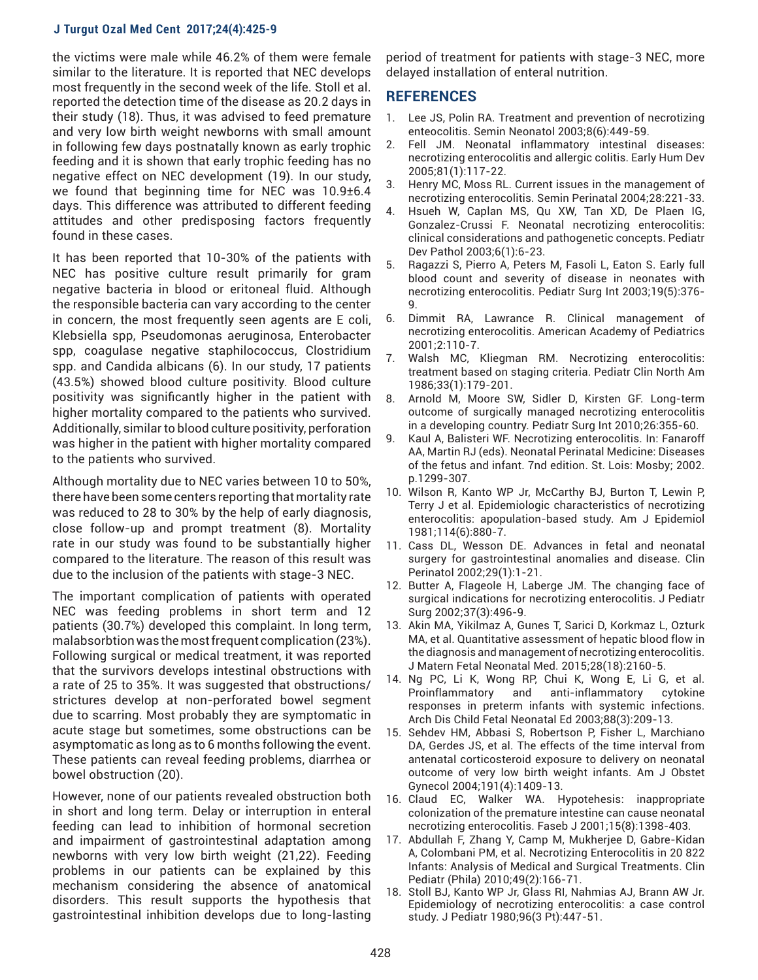the victims were male while 46.2% of them were female similar to the literature. It is reported that NEC develops most frequently in the second week of the life. Stoll et al. reported the detection time of the disease as 20.2 days in their study (18). Thus, it was advised to feed premature and very low birth weight newborns with small amount in following few days postnatally known as early trophic feeding and it is shown that early trophic feeding has no negative effect on NEC development (19). In our study, we found that beginning time for NEC was 10.9±6.4 days. This difference was attributed to different feeding attitudes and other predisposing factors frequently found in these cases.

It has been reported that 10-30% of the patients with NEC has positive culture result primarily for gram negative bacteria in blood or eritoneal fluid. Although the responsible bacteria can vary according to the center in concern, the most frequently seen agents are E coli, Klebsiella spp, Pseudomonas aeruginosa, Enterobacter spp, coagulase negative staphilococcus, Clostridium spp. and Candida albicans (6). In our study, 17 patients (43.5%) showed blood culture positivity. Blood culture positivity was significantly higher in the patient with higher mortality compared to the patients who survived. Additionally, similar to blood culture positivity, perforation was higher in the patient with higher mortality compared to the patients who survived.

Although mortality due to NEC varies between 10 to 50%, there have been some centers reporting that mortality rate was reduced to 28 to 30% by the help of early diagnosis, close follow-up and prompt treatment (8). Mortality rate in our study was found to be substantially higher compared to the literature. The reason of this result was due to the inclusion of the patients with stage-3 NEC.

The important complication of patients with operated NEC was feeding problems in short term and 12 patients (30.7%) developed this complaint. In long term, malabsorbtion was the most frequent complication (23%). Following surgical or medical treatment, it was reported that the survivors develops intestinal obstructions with a rate of 25 to 35%. It was suggested that obstructions/ strictures develop at non-perforated bowel segment due to scarring. Most probably they are symptomatic in acute stage but sometimes, some obstructions can be asymptomatic as long as to 6 months following the event. These patients can reveal feeding problems, diarrhea or bowel obstruction (20).

However, none of our patients revealed obstruction both in short and long term. Delay or interruption in enteral feeding can lead to inhibition of hormonal secretion and impairment of gastrointestinal adaptation among newborns with very low birth weight (21,22). Feeding problems in our patients can be explained by this mechanism considering the absence of anatomical disorders. This result supports the hypothesis that gastrointestinal inhibition develops due to long-lasting

period of treatment for patients with stage-3 NEC, more delayed installation of enteral nutrition.

### **REFERENCES**

- 1. Lee JS, Polin RA. Treatment and prevention of necrotizing enteocolitis. Semin Neonatol 2003;8(6):449-59.
- 2. Fell JM. Neonatal inflammatory intestinal diseases: necrotizing enterocolitis and allergic colitis. Early Hum Dev 2005;81(1):117-22.
- 3. Henry MC, Moss RL. Current issues in the management of necrotizing enterocolitis. Semin Perinatal 2004;28:221-33.
- 4. Hsueh W, Caplan MS, Qu XW, Tan XD, De Plaen IG, Gonzalez-Crussi F. Neonatal necrotizing enterocolitis: clinical considerations and pathogenetic concepts. Pediatr Dev Pathol 2003;6(1):6-23.
- 5. Ragazzi S, Pierro A, Peters M, Fasoli L, Eaton S. Early full blood count and severity of disease in neonates with necrotizing enterocolitis. Pediatr Surg Int 2003;19(5):376-  $\mathsf{Q}$
- 6. Dimmit RA, Lawrance R. Clinical management of necrotizing enterocolitis. American Academy of Pediatrics 2001;2:110-7.
- 7. Walsh MC, Kliegman RM. Necrotizing enterocolitis: treatment based on staging criteria. Pediatr Clin North Am 1986;33(1):179-201.
- 8. Arnold M, Moore SW, Sidler D, Kirsten GF. Long-term outcome of surgically managed necrotizing enterocolitis in a developing country. Pediatr Surg Int 2010;26:355-60.
- 9. Kaul A, Balisteri WF. Necrotizing enterocolitis. In: Fanaroff AA, Martin RJ (eds). Neonatal Perinatal Medicine: Diseases of the fetus and infant. 7nd edition. St. Lois: Mosby; 2002. p.1299-307.
- 10. Wilson R, Kanto WP Jr, McCarthy BJ, Burton T, Lewin P, Terry J et al. Epidemiologic characteristics of necrotizing enterocolitis: apopulation-based study. Am J Epidemiol 1981;114(6):880-7.
- 11. Cass DL, Wesson DE. Advances in fetal and neonatal surgery for gastrointestinal anomalies and disease. Clin Perinatol 2002;29(1):1-21.
- 12. Butter A, Flageole H, Laberge JM. The changing face of surgical indications for necrotizing enterocolitis. J Pediatr Surg 2002;37(3):496-9.
- 13. Akin MA, Yikilmaz A, Gunes T, Sarici D, Korkmaz L, Ozturk MA, et al. Quantitative assessment of hepatic blood flow in the diagnosis and management of necrotizing enterocolitis. J Matern Fetal Neonatal Med. 2015;28(18):2160-5.
- 14. Ng PC, Li K, Wong RP, Chui K, Wong E, Li G, et al. Proinflammatory and anti-inflammatory cytokine responses in preterm infants with systemic infections. Arch Dis Child Fetal Neonatal Ed 2003;88(3):209-13.
- 15. Sehdev HM, Abbasi S, Robertson P, Fisher L, Marchiano DA, Gerdes JS, et al. The effects of the time interval from antenatal corticosteroid exposure to delivery on neonatal outcome of very low birth weight infants. Am J Obstet Gynecol 2004;191(4):1409-13.
- 16. Claud EC, Walker WA. Hypotehesis: inappropriate colonization of the premature intestine can cause neonatal necrotizing enterocolitis. Faseb J 2001;15(8):1398-403.
- 17. Abdullah F, Zhang Y, Camp M, Mukherjee D, Gabre-Kidan A, Colombani PM, et al. Necrotizing Enterocolitis in 20 822 Infants: Analysis of Medical and Surgical Treatments. Clin Pediatr (Phila) 2010;49(2):166-71.
- 18. Stoll BJ, Kanto WP Jr, Glass RI, Nahmias AJ, Brann AW Jr. Epidemiology of necrotizing enterocolitis: a case control study. J Pediatr 1980;96(3 Pt):447-51.